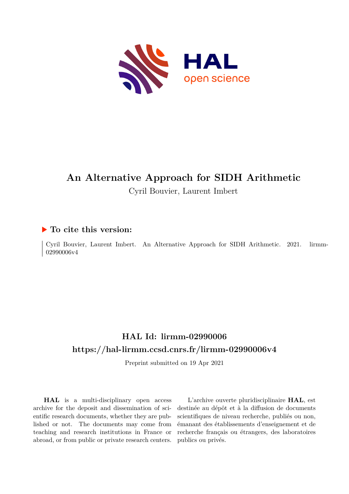

# **An Alternative Approach for SIDH Arithmetic**

Cyril Bouvier, Laurent Imbert

## **To cite this version:**

Cyril Bouvier, Laurent Imbert. An Alternative Approach for SIDH Arithmetic. 2021. limm-02990006v4

## **HAL Id: lirmm-02990006 <https://hal-lirmm.ccsd.cnrs.fr/lirmm-02990006v4>**

Preprint submitted on 19 Apr 2021

**HAL** is a multi-disciplinary open access archive for the deposit and dissemination of scientific research documents, whether they are published or not. The documents may come from teaching and research institutions in France or abroad, or from public or private research centers.

L'archive ouverte pluridisciplinaire **HAL**, est destinée au dépôt et à la diffusion de documents scientifiques de niveau recherche, publiés ou non, émanant des établissements d'enseignement et de recherche français ou étrangers, des laboratoires publics ou privés.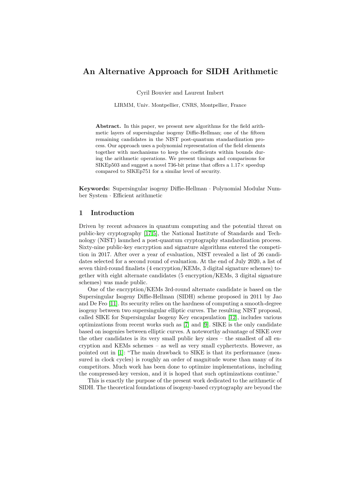## **An Alternative Approach for SIDH Arithmetic**

Cyril Bouvier and Laurent Imbert

LIRMM, Univ. Montpellier, CNRS, Montpellier, France

**Abstract.** In this paper, we present new algorithms for the field arithmetic layers of supersingular isogeny Diffie-Hellman; one of the fifteen remaining candidates in the NIST post-quantum standardization process. Our approach uses a polynomial representation of the field elements together with mechanisms to keep the coefficients within bounds during the arithmetic operations. We present timings and comparisons for SIKEp503 and suggest a novel 736-bit prime that offers a  $1.17\times$  speedup compared to SIKEp751 for a similar level of security.

**Keywords:** Supersingular isogeny Diffie-Hellman · Polynomial Modular Number System · Efficient arithmetic

## **1 Introduction**

Driven by recent advances in quantum computing and the potential threat on public-key cryptography [17,5], the National Institute of Standards and Technology (NIST) launched a post-quantum cryptography standardization process. Sixty-nine public-key encryption and signature algorithms entered the competition in 2017. After over a year of evaluation, NIST revealed a list of 26 candidates selected for a second round of evaluation. At the end of July 2020, a list of seven third-round finalists (4 encryption/KEMs, 3 digital signature schemes) together with eight alternate candidates (5 encryption/KEMs, 3 digital signature schemes) was made public.

One of the encryption/KEMs 3rd-round alternate candidate is based on the Supersingular Isogeny Diffie-Hellman (SIDH) scheme proposed in 2011 by Jao and De Feo [11]. Its security relies on the hardness of computing a smooth-degree isogeny between two supersingular elliptic curves. The resulting NIST proposal, called SIKE for Supersingular Isogeny Key encapsulation [12], includes various optimizations from recent works such as [7] and [9]. SIKE is the only candidate based on isogenies between elliptic curves. A noteworthy advantage of SIKE over the other candidates is its very small public key sizes  $-$  the smallest of all encryption and KEMs schemes – as well as very small cyphertexts. However, as pointed out in [1]: "The main drawback to SIKE is that its performance (measured in clock cycles) is roughly an order of magnitude worse than many of its competitors. Much work has been done to optimize implementations, including the compressed-key version, and it is hoped that such optimizations continue."

This is exactly the purpose of the present work dedicated to the arithmetic of SIDH. The theoretical foundations of isogeny-based cryptography are beyond the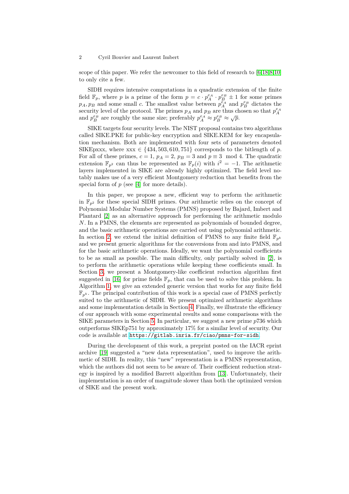scope of this paper. We refer the newcomer to this field of research to [6,18,8,10] to only cite a few.

SIDH requires intensive computations in a quadratic extension of the finite field  $\mathbb{F}_p$ , where *p* is a prime of the form  $p = c \cdot p_A^{e_A} \cdot p_B^{e_B} \pm 1$  for some primes  $p_A$ ,  $p_B$  and some small *c*. The smallest value between  $p_A^{\epsilon_A}$  and  $p_B^{e_B}$  dictates the security level of the protocol. The primes  $p_A$  and  $p_B$  are thus chosen so that  $p_A^{e_A}$ and  $p_B^{e_B}$  are roughly the same size; preferably  $p_A^{e_A} \approx p_B^{e_B} \approx \sqrt{p}$ .

SIKE targets four security levels. The NIST proposal contains two algorithms called SIKE.PKE for public-key encryption and SIKE.KEM for key encapsulation mechanism. Both are implemented with four sets of parameters denoted SIKEpxxx, where  $xx \in \{434, 503, 610, 751\}$  corresponds to the bitlength of p. For all of these primes,  $c = 1$ ,  $p_A = 2$ ,  $p_B = 3$  and  $p \equiv 3 \mod 4$ . The quadratic extension  $\mathbb{F}_{p^2}$  can thus be represented as  $\mathbb{F}_p(i)$  with  $i^2 = -1$ . The arithmetic layers implemented in SIKE are already highly optimized. The field level notably makes use of a very efficient Montgomery reduction that benefits from the special form of  $p$  (see [4] for more details).

In this paper, we propose a new, efficient way to perform the arithmetic in  $\mathbb{F}_{p^2}$  for these special SIDH primes. Our arithmetic relies on the concept of Polynomial Modular Number Systems (PMNS) proposed by Bajard, Imbert and Plantard [2] as an alternative approach for performing the arithmetic modulo *N*. In a PMNS, the elements are represented as polynomials of bounded degree, and the basic arithmetic operations are carried out using polynomial arithmetic. In section 2, we extend the initial definition of PMNS to any finite field  $\mathbb{F}_{p^k}$ and we present generic algorithms for the conversions from and into PMNS, and for the basic arithmetic operations. Ideally, we want the polynomial coefficients to be as small as possible. The main difficulty, only partially solved in [2], is to perform the arithmetic operations while keeping these coefficients small. In Section 3, we present a Montgomery-like coefficient reduction algorithm first suggested in [16] for prime fields  $\mathbb{F}_p$ , that can be used to solve this problem. In Algorithm 1, we give an extended generic version that works for any finite field  $\mathbb{F}_{p^k}$ . The principal contribution of this work is a special case of PMNS perfectly suited to the arithmetic of SIDH. We present optimized arithmetic algorithms and some implementation details in Section 4. Finally, we illustrate the efficiency of our approach with some experimental results and some comparisons with the SIKE parameters in Section 5. In particular, we suggest a new prime *p*736 which outperforms SIKEp751 by approximately 17% for a similar level of security. Our code is available at <https://gitlab.inria.fr/ciao/pmns-for-sidh>.

During the development of this work, a preprint posted on the IACR eprint archive [19] suggested a "new data representation", used to improve the arithmetic of SIDH. In reality, this "new" representation is a PMNS representation, which the authors did not seem to be aware of. Their coefficient reduction strategy is inspired by a modified Barrett algorithm from [13]. Unfortunately, their implementation is an order of magnitude slower than both the optimized version of SIKE and the present work.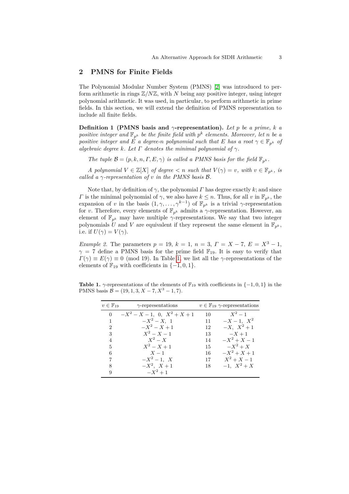## **2 PMNS for Finite Fields**

The Polynomial Modular Number System (PMNS) [2] was introduced to perform arithmetic in rings  $\mathbb{Z}/N\mathbb{Z}$ , with N being any positive integer, using integer polynomial arithmetic. It was used, in particular, to perform arithmetic in prime fields. In this section, we will extend the definition of PMNS representation to include all finite fields.

**Definition 1 (PMNS basis and** *γ***-representation).** *Let p be a prime, k a positive integer and*  $\mathbb{F}_{p^k}$  *be the finite field with*  $p^k$  *elements. Moreover, let n be a positive integer and*  $\dot{E}$  *a degree-n polynomial such that*  $E$  *has a root*  $\gamma \in \mathbb{F}_{p^k}$  *of algebraic degree*  $k$ *. Let*  $\Gamma$  *denotes the minimal polynomial of*  $\gamma$ *.* 

*The tuple*  $\mathcal{B} = (p, k, n, \Gamma, E, \gamma)$  *is called a PMNS basis for the field*  $\mathbb{F}_{p^k}$ *.* 

*A* polynomial  $V \in \mathbb{Z}[X]$  of degree  $\lt n$  such that  $V(\gamma) = v$ , with  $v \in \mathbb{F}_{n^k}$ , is *called a γ-representation of v in the PMNS basis* B*.*

Note that, by definition of  $\gamma$ , the polynomial *Γ* has degree exactly *k*; and since *Γ* is the minimal polynomial of  $\gamma$ , we also have  $k \leq n$ . Thus, for all *v* in  $\mathbb{F}_{p^k}$ , the expansion of *v* in the basis  $(1, \gamma, \ldots, \gamma^{k-1})$  of  $\mathbb{F}_{p^k}$  is a trivial  $\gamma$ -representation for *v*. Therefore, every elements of  $\mathbb{F}_{p^k}$  admits a *γ*-representation. However, an element of  $\mathbb{F}_{p^k}$  may have multiple *γ*-representations. We say that two integer polynomials U and V are equivalent if they represent the same element in  $\mathbb{F}_{p^k}$ , i.e. if  $U(\gamma) = V(\gamma)$ .

*Example 2.* The parameters  $p = 19$ ,  $k = 1$ ,  $n = 3$ ,  $\Gamma = X - 7$ ,  $E = X^3 - 1$ ,  $\gamma = 7$  define a PMNS basis for the prime field  $\mathbb{F}_{19}$ . It is easy to verify that  $\Gamma(\gamma) \equiv E(\gamma) \equiv 0 \pmod{19}$ . In Table 1, we list all the *γ*-representations of the elements of  $\mathbb{F}_{19}$  with coefficients in  $\{-1,0,1\}.$ 

**Table 1.**  $\gamma$ -representations of the elements of  $\mathbb{F}_{19}$  with coefficients in  $\{-1,0,1\}$  in the PMNS basis  $\mathcal{B} = (19, 1, 3, X - 7, X^3 - 1, 7)$ .

| $v \in \mathbb{F}_{19}$     | $\gamma$ -representations |    | $v \in \mathbb{F}_{19}$ $\gamma$ -representations |
|-----------------------------|---------------------------|----|---------------------------------------------------|
| $\Omega$                    | $-X^2-X-1$ , 0, $X^2+X+1$ | 10 | $X^2-1$                                           |
| 1                           | $-X^2-X$ , 1              | 11 | $-X-1$ , $X^2$                                    |
| $\mathcal{D}_{\mathcal{L}}$ | $-X^2-X+1$                | 12 | $-X, X^2+1$                                       |
| 3                           | $X^2 - X - 1$             | 13 | $-X+1$                                            |
| $\overline{4}$              | $X^2-X$                   | 14 | $-X^2+X-1$                                        |
| 5                           | $X^2 - X + 1$             | 15 | $-X^2+X$                                          |
| 6                           | $X-1$                     | 16 | $-X^2+X+1$                                        |
| 7                           | $-X^2-1$ , X              | 17 | $X^2 + X - 1$                                     |
| 8                           | $-X^2$ , $X+1$            | 18 | $-1, X^2 + X$                                     |
| 9                           | $-X^2+1$                  |    |                                                   |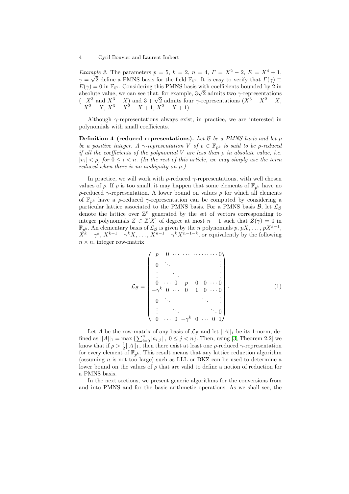*Example 3.* The parameters  $p = 5$ ,  $k = 2$ ,  $n = 4$ ,  $\Gamma = X^2 - 2$ ,  $E = X^4 + 1$ ,  $\gamma = \sqrt{2}$  define a PMNS basis for the field  $\mathbb{F}_{5^2}$ . It is easy to verify that  $\Gamma(\gamma) \equiv$  $E(\gamma) = 0$  in  $\mathbb{F}_{5^2}$ . Considering this PMNS basis with coefficients bounded by 2 in absolute value, we can see that, for example, 3 2 admits two *γ*-representations absolute value, we can see that, for example,  $3\sqrt{2}$  admits two  $\gamma$ -representations  $(-X^3 \text{ and } X^3 + X)$  and  $3 + \sqrt{2}$  admits four  $\gamma$ -representations  $(X^3 - X^2 - X,$  $-X^2 + X$ ,  $X^3 + X^2 - X + 1$ ,  $X^2 + X + 1$ ).

Although *γ*-representations always exist, in practice, we are interested in polynomials with small coefficients.

**Definition 4 (reduced representations).** *Let* B *be a PMNS basis and let ρ be a positive integer. A*  $\gamma$ *-representation*  $V$  *of*  $v \in \mathbb{F}_{p^k}$  *is said to be*  $\rho$ *-reduced if all the coefficients of the polynomial V are less than ρ in absolute value, i.e.*  $|v_i| < \rho$ , for  $0 \leq i < n$ . (In the rest of this article, we may simply use the term *reduced when there is no ambiguity on ρ.)*

In practice, we will work with  $\rho$ -reduced  $\gamma$ -representations, with well chosen values of  $\rho$ . If  $\rho$  is too small, it may happen that some elements of  $\mathbb{F}_{p^k}$  have no *ρ*-reduced *γ*-representation. A lower bound on values  $ρ$  for which all elements of  $\mathbb{F}_{p^k}$  have a *ρ*-reduced *γ*-representation can be computed by considering a particular lattice associated to the PMNS basis. For a PMNS basis  $\mathcal{B}$ , let  $\mathcal{L}_{\mathcal{B}}$ denote the lattice over  $\mathbb{Z}^n$  generated by the set of vectors corresponding to integer polynomials  $Z \in \mathbb{Z}[X]$  of degree at most  $n-1$  such that  $Z(\gamma) = 0$  in  $\mathbb{F}_{p^k}$ . An elementary basis of  $\mathcal{L}_\mathcal{B}$  is given by the *n* polynomials  $p, pX, \ldots, pX^{k-1}$ ,  $\dot{X}^k - \gamma^k$ ,  $X^{k+1} - \gamma^k X$ , ...,  $X^{n-1} - \gamma^k X^{n-1-k}$ , or equivalently by the following  $n \times n$ , integer row-matrix

$$
\mathcal{L}_{\mathcal{B}} = \begin{pmatrix}\np & 0 & \cdots & \cdots & \cdots & \cdots & 0 \\
0 & \ddots & & & & \vdots \\
\vdots & \ddots & & & & \vdots \\
0 & \cdots & 0 & p & 0 & 0 & \cdots & 0 \\
-\gamma^{k} & 0 & \cdots & 0 & 1 & 0 & \cdots & 0 \\
0 & \ddots & & & & & \vdots \\
\vdots & & & & & \ddots & 0 \\
0 & \cdots & 0 & -\gamma^{k} & 0 & \cdots & 0 & 1\n\end{pmatrix} .
$$
\n(1)

Let *A* be the row-matrix of any basis of  $\mathcal{L}_{\mathcal{B}}$  and let  $||A||_1$  be its 1-norm, defined as  $||A||_1 = \max_{i} {\sum_{i=0}^{n} |a_{i,j}|}, 0 \leq j < n$ . Then, using [3, Theorem 2.2] we know that if  $\rho > \frac{1}{2} ||A||_1$ , then there exist at least one  $\rho$ -reduced  $\gamma$ -representation for every element of  $\mathbb{F}_{p^k}$ . This result means that any lattice reduction algorithm (assuming *n* is not too large) such as LLL or BKZ can be used to determine a lower bound on the values of *ρ* that are valid to define a notion of reduction for a PMNS basis.

In the next sections, we present generic algorithms for the conversions from and into PMNS and for the basic arithmetic operations. As we shall see, the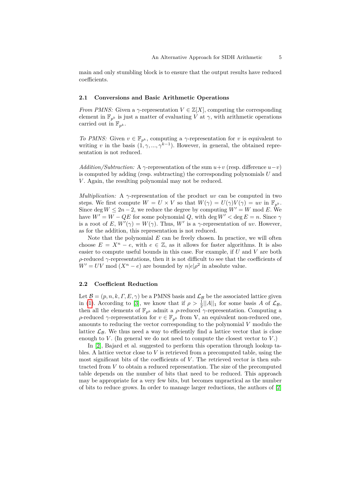main and only stumbling block is to ensure that the output results have reduced coefficients.

#### **2.1 Conversions and Basic Arithmetic Operations**

*From PMNS:* Given a  $\gamma$ -representation  $V \in \mathbb{Z}[X]$ , computing the corresponding element in  $\mathbb{F}_{p^k}$  is just a matter of evaluating *V* at  $\gamma$ , with arithmetic operations carried out in  $\mathbb{F}_{p^k}$ .

*To PMNS:* Given  $v \in \mathbb{F}_{p^k}$ , computing a *γ*-representation for *v* is equivalent to writing *v* in the basis  $(1, \gamma, ..., \gamma^{k-1})$ . However, in general, the obtained representation is not reduced.

*Addition/Subtraction:* A  $\gamma$ -representation of the sum  $u+v$  (resp. difference  $u-v$ ) is computed by adding (resp. subtracting) the corresponding polynomials *U* and *V*. Again, the resulting polynomial may not be reduced.

*Multiplication:* A *γ*-representation of the product *uv* can be computed in two steps. We first compute  $W = U \times V$  so that  $W(\gamma) = U(\gamma)V(\gamma) = uv$  in  $\mathbb{F}_{n^k}$ . Since deg  $W \leq 2n-2$ , we reduce the degree by computing  $W' = W \mod E$ . We have  $W' = W - QE$  for some polynomial *Q*, with deg  $W' <$  deg  $E = n$ . Since  $\gamma$ is a root of *E*,  $W'(\gamma) = W(\gamma)$ . Thus, *W'* is a  $\gamma$ -representation of *uv*. However, as for the addition, this representation is not reduced.

Note that the polynomial  $E$  can be freely chosen. In practice, we will often choose  $E = X^n - e$ , with  $e \in \mathbb{Z}$ , as it allows for faster algorithms. It is also easier to compute useful bounds in this case. For example, if *U* and *V* are both *ρ*-reduced *γ*-representations, then it is not difficult to see that the coefficients of  $W' = UV \mod (X^n - e)$  are bounded by  $n|e| \rho^2$  in absolute value.

## **2.2 Coefficient Reduction**

Let  $\mathcal{B} = (p, n, k, \Gamma, E, \gamma)$  be a PMNS basis and  $\mathcal{L}_{\mathcal{B}}$  be the associated lattice given in (1). According to [3], we know that if  $\rho > \frac{1}{2} ||A||_1$  for some basis A of  $\mathcal{L}_{\mathcal{B}}$ , then all the elements of  $\mathbb{F}_{p^k}$  admit a  $\rho$ -reduced  $\gamma$ -representation. Computing a *ρ*-reduced *γ*-representation for  $v \in \mathbb{F}_{p^k}$  from V, an equivalent non-reduced one, amounts to reducing the vector corresponding to the polynomial *V* modulo the lattice  $\mathcal{L}_B$ . We thus need a way to efficiently find a lattice vector that is close enough to  $V$ . (In general we do not need to compute the closest vector to  $V$ .)

In [2], Bajard et al. suggested to perform this operation through lookup tables. A lattice vector close to *V* is retrieved from a precomputed table, using the most significant bits of the coefficients of *V*. The retrieved vector is then subtracted from *V* to obtain a reduced representation. The size of the precomputed table depends on the number of bits that need to be reduced. This approach may be appropriate for a very few bits, but becomes unpractical as the number of bits to reduce grows. In order to manage larger reductions, the authors of [2]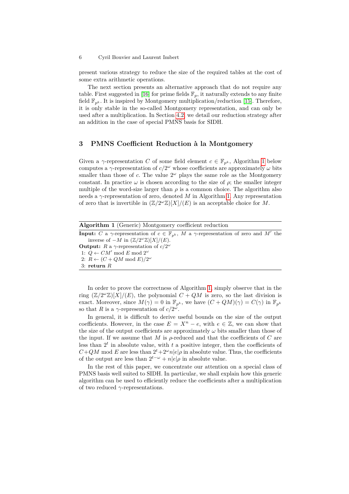present various strategy to reduce the size of the required tables at the cost of some extra arithmetic operations.

The next section presents an alternative approach that do not require any table. First suggested in [16] for prime fields  $\mathbb{F}_p$ , it naturally extends to any finite field  $\mathbb{F}_{p^k}$ . It is inspired by Montgomery multiplication/reduction [15]. Therefore, it is only stable in the so-called Montgomery representation, and can only be used after a multiplication. In Section 4.2, we detail our reduction strategy after an addition in the case of special PMNS basis for SIDH.

## **3 PMNS Coefficient Reduction à la Montgomery**

Given a *γ*-representation *C* of some field element  $c \in \mathbb{F}_{p^k}$ , Algorithm 1 below computes a  $\gamma$ -representation of  $c/2^{\omega}$  whose coefficients are approximately  $\omega$  bits smaller than those of  $c$ . The value  $2^{\omega}$  plays the same role as the Montgomery constant. In practice  $\omega$  is chosen according to the size of  $\rho$ ; the smaller integer multiple of the word-size larger than  $\rho$  is a common choice. The algorithm also needs a *γ*-representation of zero, denoted *M* in Algorithm 1. Any representation of zero that is invertible in  $(\mathbb{Z}/2^{\omega}\mathbb{Z})[X]/(E)$  is an acceptable choice for *M*.

| <b>Algorithm 1</b> (Generic) Montgomery coefficient reduction                                                            |  |
|--------------------------------------------------------------------------------------------------------------------------|--|
| <b>Input:</b> C a $\gamma$ -representation of $c \in \mathbb{F}_{n^k}$ , M a $\gamma$ -representation of zero and M' the |  |
| inverse of $-M$ in $(\mathbb{Z}/2^{\omega}\mathbb{Z})[X]/(E)$ .                                                          |  |
| <b>Output:</b> R a $\gamma$ -representation of $c/2^{\omega}$                                                            |  |
| 1: $Q \leftarrow CM' \mod E \mod 2^{\omega}$                                                                             |  |
| 2: $R \leftarrow (C + QM \mod E)/2^{\omega}$                                                                             |  |
| 3: return $R$                                                                                                            |  |

In order to prove the correctness of Algorithm 1, simply observe that in the ring  $(\mathbb{Z}/2^{\omega}\mathbb{Z})[X]/(E)$ , the polynomial  $C + QM$  is zero, so the last division is exact. Moreover, since  $M(\gamma) = 0$  in  $\mathbb{F}_{p^k}$ , we have  $(C + QM)(\gamma) = C(\gamma)$  in  $\mathbb{F}_{p^k}$ so that *R* is a  $\gamma$ -representation of  $c/2^{\omega}$ .

In general, it is difficult to derive useful bounds on the size of the output coefficients. However, in the case  $E = X^n - e$ , with  $e \in \mathbb{Z}$ , we can show that the size of the output coefficients are approximately  $\omega$  bits smaller than those of the input. If we assume that  $M$  is  $\rho$ -reduced and that the coefficients of  $C$  are less than  $2<sup>t</sup>$  in absolute value, with  $t$  a positive integer, then the coefficients of  $C + QM$  mod *E* are less than  $2^{t} + 2^{\omega}n|e|\rho$  in absolute value. Thus, the coefficients of the output are less than  $2^{t-\omega} + n|e|\rho$  in absolute value.

In the rest of this paper, we concentrate our attention on a special class of PMNS basis well suited to SIDH. In particular, we shall explain how this generic algorithm can be used to efficiently reduce the coefficients after a multiplication of two reduced *γ*-representations.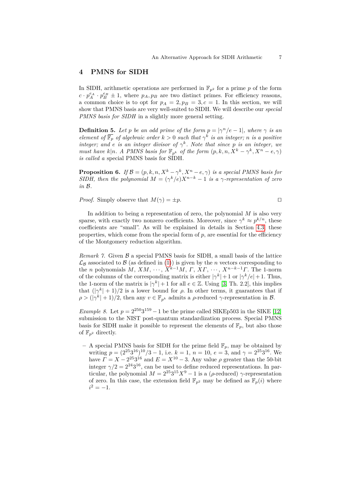## **4 PMNS for SIDH**

In SIDH, arithmetic operations are performed in  $\mathbb{F}_{p^2}$  for a prime p of the form  $c \cdot p_A^{e_A} \cdot p_B^{e_B} \pm 1$ , where  $p_A, p_B$  are two distinct primes. For efficiency reasons, a common choice is to opt for  $p_A = 2$ ,  $p_B = 3$ ,  $c = 1$ . In this section, we will show that PMNS basis are very well-suited to SIDH. We will describe our *special PMNS basis for SIDH* in a slightly more general setting.

**Definition 5.** Let *p* be an odd prime of the form  $p = |\gamma^n/e - 1|$ , where  $\gamma$  is an *element of*  $\overline{\mathbb{F}_p}$  *of algebraic order*  $k > 0$  *such that*  $\gamma^k$  *is an integer; n is a positive integer;* and *e is an integer divisor of*  $\gamma^k$ . Note that since *p is an integer,* we *must have*  $k|n$ *. A PMNS basis for*  $\mathbb{F}_{p^k}$  *of the form*  $(p, k, n, X^k - \gamma^k, X^n - e, \gamma)$ *is called a* special PMNS basis for SIDH*.*

**Proposition 6.** *If*  $\mathcal{B} = (p, k, n, X^k - \gamma^k, X^n - e, \gamma)$  *is a special PMNS basis for SIDH, then the polynomial*  $M = (\gamma^k/e)X^{n-k} - 1$  *is a γ-representation of zero in* B*.*

*Proof.* Simply observe that  $M(\gamma) = \pm p$ .

In addition to being a representation of zero, the polynomial *M* is also very sparse, with exactly two nonzero coefficients. Moreover, since  $\gamma^k \approx p^{k/n}$ , these coefficients are "small". As will be explained in details in Section 4.3, these properties, which come from the special form of  $p$ , are essential for the efficiency of the Montgomery reduction algorithm.

*Remark 7.* Given  $\beta$  a special PMNS basis for SIDH, a small basis of the lattice  $\mathcal{L}_\mathcal{B}$  associated to  $\mathcal B$  (as defined in (1)) is given by the *n* vectors corresponding to the *n* polynomials  $M, XM, \cdots, X^{k-1}M, \Gamma, XY, \cdots, X^{n-k-1}\Gamma$ . The 1-norm of the columns of the corresponding matrix is either  $|\gamma^k|+1$  or  $|\gamma^k/e|+1$ . Thus, the 1-norm of the matrix is  $|\gamma^k|+1$  for all  $e \in \mathbb{Z}$ . Using [3, Th. 2.2], this implies that  $(|\gamma^k| + 1)/2$  is a lower bound for  $\rho$ . In other terms, it guarantees that if  $\rho > (|\gamma^k| + 1)/2$ , then any  $v \in \mathbb{F}_{p^k}$  admits a  $\rho$ -reduced  $\gamma$ -representation in B.

*Example 8.* Let  $p = 2^{250}3^{159} - 1$  be the prime called SIKEp503 in the SIKE [12] submission to the NIST post-quantum standardization process. Special PMNS basis for SIDH make it possible to represent the elements of  $\mathbb{F}_p$ , but also those of  $\mathbb{F}_{n^2}$  directly.

– A special PMNS basis for SIDH for the prime field  $\mathbb{F}_p$ , may be obtained by writing  $p = (2^{25}3^{16})^{10}/3 - 1$ , i.e.  $k = 1$ ,  $n = 10$ ,  $e = 3$ , and  $\gamma = 2^{25}3^{16}$ . We have  $\Gamma = X - 2^{25}3^{16}$  and  $E = X^{10} - 3$ . Any value  $\rho$  greater than the 50-bit integer  $\gamma/2 = 2^{24}3^{16}$ , can be used to define reduced representations. In particular, the polynomial  $M = 2^{25}3^{15}X^9 - 1$  is a ( $\rho$ -reduced)  $\gamma$ -representation of zero. In this case, the extension field  $\mathbb{F}_{p^2}$  may be defined as  $\mathbb{F}_p(i)$  where  $i^2 = -1.$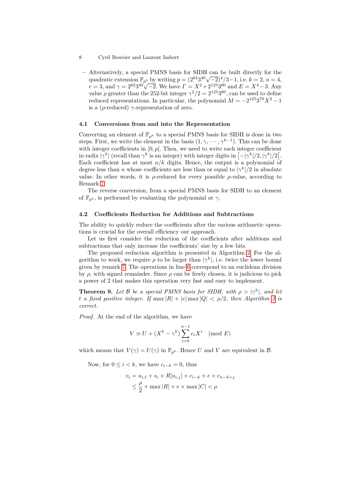- 8 Cyril Bouvier and Laurent Imbert
	- **–** Alternatively, a special PMNS basis for SIDH can be built directly for the Alternatively, a special PMNS basis for SIDR can be built directly for the quadratic extension  $\mathbb{F}_{p^2}$  by writing  $p = (2^{62}3^{40}\sqrt{-2})^4/3 - 1$ , i.e.  $k = 2, n = 4$ , quadratic extension  $\mathbb{F}_{p^2}$  by writing  $p = (2^{2-3-\nu}\sqrt{-2})^2/5 - 1$ , i.e.  $\kappa \equiv 2$ ,  $n \equiv 4$ ,  $e = 3$ , and  $\gamma = 2^{62}3^{40}\sqrt{-2}$ . We have  $\Gamma = X^2 + 2^{125}3^{80}$  and  $E = X^4 - 3$ . Any value  $\rho$  greater than the 252-bit integer  $\gamma^2/2 = 2^{125}3^{80}$ , can be used to define reduced representations. In particular, the polynomial  $M = -2^{125}3^{79}X^2 - 1$ is a ( $\rho$ -reduced)  $\gamma$ -representation of zero.

#### **4.1 Conversions from and into the Representation**

Converting an element of  $\mathbb{F}_{p^k}$  to a special PMNS basis for SIDH is done in two steps. First, we write the element in the basis  $(1, \gamma, \dots, \gamma^{k-1})$ . This can be done with integer coefficients in  $[0, p]$ . Then, we need to write each integer coefficient in radix  $|\gamma^k|$  (recall than  $\gamma^k$  is an integer) with integer digits in  $[-|\gamma^k|/2, |\gamma^k|/2]$ . Each coefficient has at most  $n/k$  digits. Hence, the output is a polynomial of degree less than *n* whose coefficients are less than or equal to  $|\gamma^k|/2$  in absolute value. In other words, it is  $\rho$ -reduced for every possible  $\rho$ -value, according to Remark 7.

The reverse conversion, from a special PMNS basis for SIDH to an element of  $\mathbb{F}_{p^k}$ , is performed by evaluating the polynomial at  $\gamma$ .

#### **4.2 Coefficients Reduction for Additions and Subtractions**

The ability to quickly reduce the coefficients after the various arithmetic operations is crucial for the overall efficiency our approach.

Let us first consider the reduction of the coefficients after additions and subtractions that only increase the coefficients' size by a few bits.

The proposed reduction algorithm is presented in Algorithm 2. For the algorithm to work, we require  $\rho$  to be larger than  $|\gamma^k|$ , i.e. twice the lower bound given by remark 7. The operations in line 6 correspond to an euclidean division by  $\rho$ , with signed remainder. Since  $\rho$  can be freely chosen, it is judicious to pick a power of 2 that makes this operation very fast and easy to implement.

**Theorem 9.** Let B be a special PMNS basis for SIDH, with  $\rho > |\gamma^k|$ , and let *t a* fixed positive integer. If  $\max |R| + |e| \max |Q| < \rho/2$ , then Algorithm 2 is *correct.*

*Proof.* At the end of the algorithm, we have

$$
V \equiv U + (X^k - \gamma^k) \sum_{i=0}^{n-1} c_i X^i \pmod{E}
$$

which means that  $V(\gamma) = U(\gamma)$  in  $\mathbb{F}_{p^k}$ . Hence *U* and *V* are equivalent in *B*.

Now, for  $0 \leq i < k$ , we have  $c_{i-k} = 0$ , thus

$$
v_i = u_{i,\ell} + s_i \times R[u_{i,j}] + c_{i-k} + e \times c_{n-k+j}
$$
  

$$
\leq \frac{\rho}{2} + \max |R| + e \times \max |C| < \rho
$$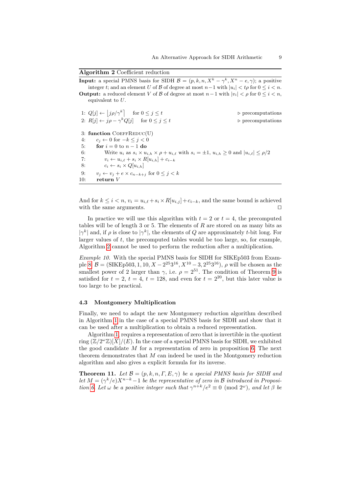**Algorithm 2** Coefficient reduction

| <b>Input:</b> a special PMNS basis for SIDH $\mathcal{B} = (p, k, n, X^k - \gamma^k, X^n - e, \gamma)$ ; a positive<br>integer t; and an element U of B of degree at most $n-1$ with $ u_i  < t\rho$ for $0 \le i \le n$ . |                                  |
|----------------------------------------------------------------------------------------------------------------------------------------------------------------------------------------------------------------------------|----------------------------------|
| <b>Output:</b> a reduced element V of B of degree at most $n-1$ with $ v_i  < \rho$ for $0 \le i < n$ ,<br>equivalent to $U$ .                                                                                             |                                  |
| 1: $Q[j] \leftarrow  j\rho/\gamma^k $ for $0 \le j \le t$                                                                                                                                                                  | $\triangleright$ precomputations |
| 2: $R[j] \leftarrow j \rho - \gamma^k Q[j]$ for $0 \le j \le t$                                                                                                                                                            | $\triangleright$ precomputations |
| 3: function $CoEFFREDUC(U)$                                                                                                                                                                                                |                                  |
| $c_i \leftarrow 0$ for $-k \leq i \leq 0$<br>4:                                                                                                                                                                            |                                  |
| for $i=0$ to $n-1$ do<br>5:                                                                                                                                                                                                |                                  |
| 6:<br>Write $u_i$ as $s_i \times u_{i,h} \times \rho + u_{i,\ell}$ with $s_i = \pm 1$ , $u_{i,h} \geq 0$ and $ u_{i,\ell}  \leq \rho/2$                                                                                    |                                  |
| 7:<br>$v_i \leftarrow u_{i,\ell} + s_i \times R[u_{i,h}] + c_{i-k}$                                                                                                                                                        |                                  |
| 8:<br>$c_i \leftarrow s_i \times Q[u_{i,h}]$                                                                                                                                                                               |                                  |
| $v_i \leftarrow v_i + e \times c_{n-k+i}$ for $0 \leq i \leq k$<br>9:                                                                                                                                                      |                                  |
| 10:<br>return V                                                                                                                                                                                                            |                                  |
|                                                                                                                                                                                                                            |                                  |

And for  $k \leq i < n$ ,  $v_i = u_{i,\ell} + s_i \times R[u_{i,j}] + c_{i-k}$ , and the same bound is achieved with the same arguments.  $\square$ 

In practice we will use this algorithm with  $t = 2$  or  $t = 4$ , the precomputed tables will be of length 3 or 5. The elements of *R* are stored on as many bits as  $|\gamma^k|$  and, if  $\rho$  is close to  $|\gamma^k|$ , the elements of *Q* are approximately *t*-bit long. For larger values of *t*, the precomputed tables would be too large, so, for example, Algorithm 2 cannot be used to perform the reduction after a multiplication.

*Example 10.* With the special PMNS basis for SIDH for SIKEp503 from Example 8:  $\mathcal{B} = (\text{SIKEp503}, 1, 10, X - 2^{25}3^{16}, X^{10} - 3, 2^{25}3^{16}), \rho$  will be chosen as the smallest power of 2 larger than  $\gamma$ , i.e.  $\rho = 2^{51}$ . The condition of Theorem 9 is satisfied for  $t = 2$ ,  $t = 4$ ,  $t = 128$ , and even for  $t = 2^{20}$ , but this later value is too large to be practical.

#### **4.3 Montgomery Multiplication**

Finally, we need to adapt the new Montgomery reduction algorithm described in Algorithm 1 in the case of a special PMNS basis for SIDH and show that it can be used after a multiplication to obtain a reduced representation.

Algorithm 1, requires a representation of zero that is invertible in the quotient ring  $(\mathbb{Z}/2^{\omega}\mathbb{Z})[X]/(E)$ . In the case of a special PMNS basis for SIDH, we exhibited the good candidate *M* for a representation of zero in proposition 6. The next theorem demonstrates that *M* can indeed be used in the Montgomery reduction algorithm and also gives a explicit formula for its inverse.

**Theorem 11.** *Let*  $\mathcal{B} = (p, k, n, \Gamma, E, \gamma)$  *be a special PMNS basis for SIDH and let*  $M = (\gamma^k/e)X^{n-k}-1$  *be the representative of zero in* B *introduced in Proposition* 6. Let  $\omega$  be a positive integer such that  $\gamma^{n+k}/e^2 \equiv 0 \pmod{2^{\omega}}$ , and let  $\beta$  be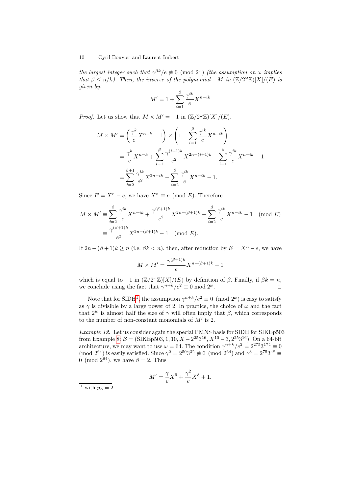*the largest integer such that*  $\gamma^{\beta k}/e \neq 0 \pmod{2^{\omega}}$  *(the assumption on*  $\omega$  *implies that*  $\beta \leq n/k$ *). Then, the inverse of the polynomial* −*M in*  $(\mathbb{Z}/2^{\omega}\mathbb{Z})[X]/(E)$  *is given by:*

$$
M'=1+\sum_{i=1}^{\beta}\frac{\gamma^{ik}}{e}X^{n-ik}
$$

*Proof.* Let us show that  $M \times M' = -1$  in  $(\mathbb{Z}/2^{\omega}\mathbb{Z})[X]/(E)$ .

$$
M \times M' = \left(\frac{\gamma^k}{e} X^{n-k} - 1\right) \times \left(1 + \sum_{i=1}^{\beta} \frac{\gamma^{ik}}{e} X^{n-i k}\right)
$$
  
=  $\frac{\gamma^k}{e} X^{n-k} + \sum_{i=1}^{\beta} \frac{\gamma^{(i+1)k}}{e^2} X^{2n-(i+1)k} - \sum_{i=1}^{\beta} \frac{\gamma^{ik}}{e} X^{n-i k} - 1$   
=  $\sum_{i=2}^{\beta+1} \frac{\gamma^{ik}}{e^2} X^{2n-i k} - \sum_{i=2}^{\beta} \frac{\gamma^{ik}}{e} X^{n-i k} - 1.$ 

Since  $E = X^n - e$ , we have  $X^n \equiv e \pmod{E}$ . Therefore

$$
M \times M' \equiv \sum_{i=2}^{\beta} \frac{\gamma^{ik}}{e} X^{n-ik} + \frac{\gamma^{(\beta+1)k}}{e^2} X^{2n-(\beta+1)k} - \sum_{i=2}^{\beta} \frac{\gamma^{ik}}{e} X^{n-ik} - 1 \pmod{E}
$$

$$
\equiv \frac{\gamma^{(\beta+1)k}}{e^2} X^{2n-(\beta+1)k} - 1 \pmod{E}.
$$

If  $2n - (\beta + 1)k \ge n$  (i.e.  $\beta k < n$ ), then, after reduction by  $E = X^n - e$ , we have

$$
M \times M' = \frac{\gamma^{(\beta+1)k}}{e} X^{n-(\beta+1)k} - 1
$$

which is equal to  $-1$  in  $(\mathbb{Z}/2^{\omega}\mathbb{Z})[X]/(E)$  by definition of  $\beta$ . Finally, if  $\beta k = n$ , we conclude using the fact that  $\gamma^{n+k}/e^2 \equiv 0 \mod 2^\omega$ .

Note that for SIDH<sup>1</sup>, the assumption  $\gamma^{n+k}/e^2 \equiv 0 \pmod{2^\omega}$  is easy to satisfy as  $\gamma$  is divisible by a large power of 2. In practice, the choice of  $\omega$  and the fact that  $2^w$  is almost half the size of  $\gamma$  will often imply that  $\beta$ , which corresponds to the number of non-constant monomials of  $M'$  is 2.

*Example 12.* Let us consider again the special PMNS basis for SIDH for SIKEp503 from Example 8:  $\mathcal{B} = (\text{SIKEp503}, 1, 10, X - 2^{25}3^{16}, X^{10} - 3, 2^{25}3^{16})$ . On a 64-bit architecture, we may want to use  $\omega = 64$ . The condition  $\gamma^{n+k}/e^2 = 2^{275}3^{174} \equiv 0$ (mod  $2^{64}$ ) is easily satisfied. Since  $\gamma^2 = 2^{50}3^{32} \not\equiv 0 \pmod{2^{64}}$  and  $\gamma^3 = 2^{75}3^{48} \equiv$ 0 (mod  $2^{64}$ ), we have  $\beta = 2$ . Thus

$$
M' = \frac{\gamma}{e}X^9 + \frac{\gamma^2}{e}X^8 + 1.
$$

<sup>1</sup> with  $p_A = 2$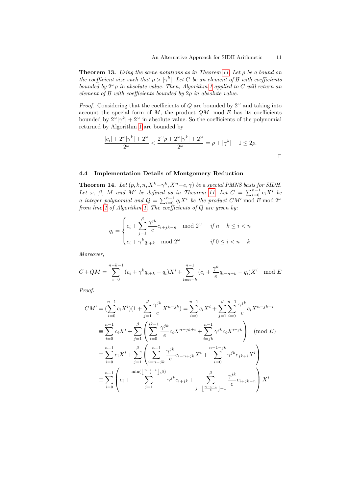**Theorem 13.** *Using the same notations as in Theorem 11. Let ρ be a bound on the coefficient size such that*  $\rho > |\gamma^k|$ *. Let C be an element of B with coefficients bounded by* 2 *<sup>ω</sup>ρ in absolute value. Then, Algorithm 1 applied to C will return an element of* B *with coefficients bounded by* 2*ρ in absolute value.*

*Proof.* Considering that the coefficients of  $Q$  are bounded by  $2^{\omega}$  and taking into account the special form of  $M$ , the product  $QM$  mod  $E$  has its coefficients bounded by  $2^{\omega}|\gamma^k| + 2^{\omega}$  in absolute value. So the coefficients of the polynomial returned by Algorithm 1 are bounded by

$$
\frac{|c_i| + 2^{\omega}|\gamma^k| + 2^{\omega}}{2^{\omega}} < \frac{2^{\omega}\rho + 2^{\omega}|\gamma^k| + 2^{\omega}}{2^{\omega}} = \rho + |\gamma^k| + 1 \le 2\rho.
$$

#### **4.4 Implementation Details of Montgomery Reduction**

**Theorem 14.** Let  $(p, k, n, X^k - \gamma^k, X^n - e, \gamma)$  be a special PMNS basis for SIDH. *Let*  $\omega$ ,  $\beta$ ,  $M$  *and*  $M'$  *be defined as in Theorem 11. Let*  $C = \sum_{i=0}^{n-1} c_i X^i$  *be a* integer polynomial and  $Q = \sum_{i=0}^{n-1} q_i X^i$  be the product  $CM'$  mod  $E$  mod  $2^{\omega}$ *from line 1 of Algorithm 1. The coefficients of Q are given by:*

$$
q_i = \begin{cases} c_i + \sum_{j=1}^{\beta} \frac{\gamma^{jk}}{e} c_{i+jk-n} \mod 2^{\omega} & \text{if } n-k \le i < n \\ c_i + \gamma^k q_{i+k} \mod 2^{\omega} & \text{if } 0 \le i < n-k \end{cases}
$$

*Moreover,*

$$
C + QM = \sum_{i=0}^{n-k-1} (c_i + \gamma^k q_{i+k} - q_i) X^i + \sum_{i=n-k}^{n-1} (c_i + \frac{\gamma^k}{e} q_{i-n+k} - q_i) X^i \mod E
$$

*Proof.*

$$
CM' = \left(\sum_{i=0}^{n-1} c_i X^i\right) \left(1 + \sum_{j=1}^{\beta} \frac{\gamma^{jk}}{e} X^{n-jk}\right) = \sum_{i=0}^{n-1} c_i X^i + \sum_{j=1}^{\beta} \sum_{i=0}^{n-1} \frac{\gamma^{jk}}{e} c_i X^{n-jk+i}
$$
  
\n
$$
\equiv \sum_{i=0}^{n-1} c_i X^i + \sum_{j=1}^{\beta} \left(\sum_{i=0}^{jk-1} \frac{\gamma^{jk}}{e} c_i X^{n-jk+i} + \sum_{i=jk}^{n-1} \gamma^{jk} c_i X^{i-jk}\right) \pmod{E}
$$
  
\n
$$
\equiv \sum_{i=0}^{n-1} c_i X^i + \sum_{j=1}^{\beta} \left(\sum_{i=n-jk}^{n-1} \frac{\gamma^{jk}}{e} c_{i-n+jk} X^i + \sum_{i=0}^{n-1-jk} \gamma^{jk} c_{jk+i} X^i\right)
$$
  
\n
$$
\equiv \sum_{i=0}^{n-1} \left(c_i + \sum_{j=1}^{\min\left(\lfloor \frac{n-i-1}{k} \rfloor, \beta\right)} \gamma^{jk} c_{i+jk} + \sum_{j=\lfloor \frac{n-i-1}{k} \rfloor+1}^{\beta} \frac{\gamma^{jk}}{e} c_{i+jk-n}\right) X^i
$$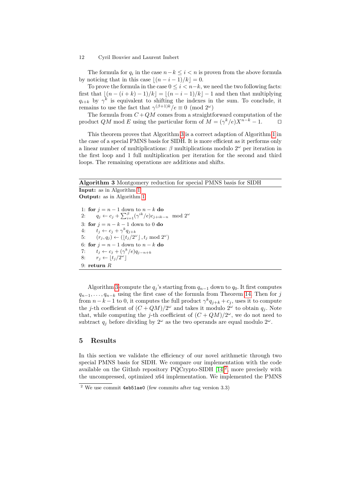The formula for  $q_i$  in the case  $n-k \leq i < n$  is proven from the above formula by noticing that in this case  $|(n - i - 1)/k| = 0$ .

To prove the formula in the case  $0 \leq i < n-k$ , we need the two following facts: first that  $|(n - (i + k) - 1)/k| = |(n - i - 1)/k| - 1$  and then that multiplying  $q_{i+k}$  by  $\gamma^k$  is equivalent to shifting the indexes in the sum. To conclude, it remains to use the fact that  $\gamma^{(\beta+1)k}/e \equiv 0 \pmod{2^{\omega}}$ 

The formula from  $C + QM$  comes from a straightforward computation of the product  $QM \mod E$  using the particular form of  $M = (\gamma^k/e)X^{n-k} - 1$ .

This theorem proves that Algorithm 3 is a correct adaption of Algorithm 1 in the case of a special PMNS basis for SIDH. It is more efficient as it performs only a linear number of multiplications: *β* multiplications modulo 2 *<sup>ω</sup>* per iteration in the first loop and 1 full multiplication per iteration for the second and third loops. The remaining operations are additions and shifts.

**Algorithm 3** Montgomery reduction for special PMNS basis for SIDH

**Input:** as in Algorithm 1 **Output:** as in Algorithm 1

1: **for**  $j = n - 1$  down to  $n - k$  **do** 2:  $q_j \leftarrow c_j + \sum_{i=1}^{\beta} (\gamma^{ik}/e)c_{j+ik-n} \mod 2^{\omega}$ 3: **for**  $j = n - k - 1$  down to 0 **do** 4:  $t_j \leftarrow c_j + \gamma^k q_{j+k}$ 5:  $(r_j, q_j) \leftarrow (\lfloor t_j/2^{\omega} \rfloor, t_j \mod 2^{\omega})$ 6: **for**  $j = n - 1$  down to  $n - k$  **do** 7:  $t_j \leftarrow c_j + (\gamma^k/e)q_{j-n+k}$ 8:  $r_j \leftarrow \lfloor t_j/2^\omega \rfloor$ 9: **return** *R*

Algorithm 3 compute the  $q_i$ 's starting from  $q_{n-1}$  down to  $q_0$ . It first computes  $q_{n-1}, \ldots, q_{n-k}$  using the first case of the formula from Theorem 14. Then for *j* from  $n - k - 1$  to 0, it computes the full product  $\gamma^k q_{j+k} + c_j$ , uses it to compute the *j*-th coefficient of  $(C + QM)/2^{\omega}$  and takes it modulo  $2^{\omega}$  to obtain  $q_j$ . Note that, while computing the *j*-th coefficient of  $(C + QM)/2^{\omega}$ , we do not need to subtract  $q_j$  before dividing by  $2^{\omega}$  as the two operands are equal modulo  $2^{\omega}$ .

## **5 Results**

In this section we validate the efficiency of our novel arithmetic through two special PMNS basis for SIDH. We compare our implementation with the code available on the Github repository PQCrypto-SIDH  $[14]^2$ , more precisely with the uncompressed, optimized x64 implementation. We implemented the PMNS

<sup>2</sup> We use commit 4eb51ae0 (few commits after tag version 3.3)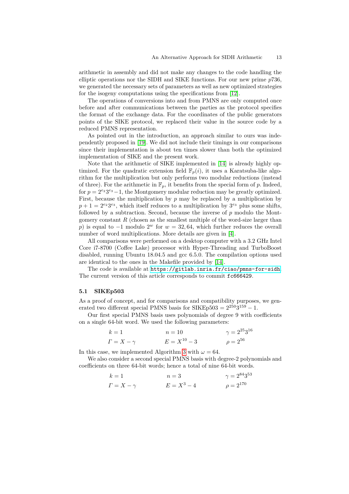arithmetic in assembly and did not make any changes to the code handling the elliptic operations nor the SIDH and SIKE functions. For our new prime *p*736, we generated the necessary sets of parameters as well as new optimized strategies for the isogeny computations using the specifications from [12].

The operations of conversions into and from PMNS are only computed once before and after communications between the parties as the protocol specifies the format of the exchange data. For the coordinates of the public generators points of the SIKE protocol, we replaced their value in the source code by a reduced PMNS representation.

As pointed out in the introduction, an approach similar to ours was independently proposed in [19]. We did not include their timings in our comparisons since their implementation is about ten times slower than both the optimized implementation of SIKE and the present work.

Note that the arithmetic of SIKE implemented in [14] is already highly optimized. For the quadratic extension field  $\mathbb{F}_p(i)$ , it uses a Karatsuba-like algorithm for the multiplication but only performs two modular reductions (instead of three). For the arithmetic in  $\mathbb{F}_p$ , it benefits from the special form of p. Indeed, for  $p = 2^{e_2}3^{e_3} - 1$ , the Montgomery modular reduction may be greatly optimized. First, because the multiplication by *p* may be replaced by a multiplication by  $p + 1 = 2^{e_2} 3^{e_3}$ , which itself reduces to a multiplication by  $3^{e_3}$  plus some shifts, followed by a subtraction. Second, because the inverse of *p* modulo the Montgomery constant *R* (chosen as the smallest multiple of the word-size larger than *p*) is equal to  $-1$  modulo  $2^w$  for  $w = 32, 64$ , which further reduces the overall number of word multiplications. More details are given in [4].

All comparisons were performed on a desktop computer with a 3.2 GHz Intel Core i7-8700 (Coffee Lake) processor with Hyper-Threading and TurboBoost disabled, running Ubuntu 18.04.5 and gcc 6.5.0. The compilation options used are identical to the ones in the Makefile provided by [14].

The code is available at <https://gitlab.inria.fr/ciao/pmns-for-sidh>. The current version of this article corresponds to commit fc666429.

#### **5.1 SIKEp503**

As a proof of concept, and for comparisons and compatibility purposes, we generated two different special PMNS basis for  $SIKEp503 = 2^{250}3^{159} - 1$ .

Our first special PMNS basis uses polynomials of degree 9 with coefficients on a single 64-bit word. We used the following parameters:

$$
k = 1
$$
  
\n $n = 10$   
\n $\gamma = 2^{25}3^{16}$   
\n $\gamma = 2^{25}3^{16}$   
\n $\gamma = 2^{56}$ 

In this case, we implemented Algorithm 3 with  $\omega = 64$ .

We also consider a second special PMNS basis with degree-2 polynomials and coefficients on three 64-bit words; hence a total of nine 64-bit words.

$$
k = 1
$$
  
\n $r = 1$   
\n $r = 2^{84}3^{53}$   
\n $r = 2^{84}3^{53}$   
\n $r = 2^{84}3^{53}$   
\n $\rho = 2^{170}$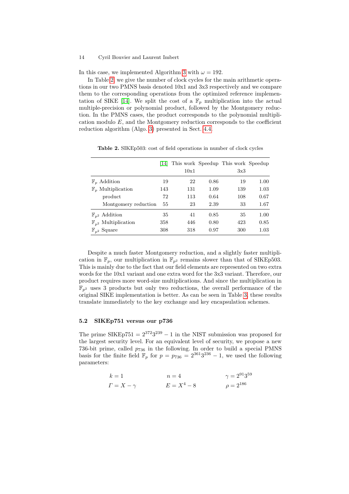In this case, we implemented Algorithm 3 with  $\omega = 192$ .

In Table 2, we give the number of clock cycles for the main arithmetic operations in our two PMNS basis denoted 10x1 and 3x3 respectively and we compare them to the corresponding operations from the optimized reference implementation of SIKE [14]. We split the cost of a  $\mathbb{F}_p$  multiplication into the actual multiple-precision or polynomial product, followed by the Montgomery reduction. In the PMNS cases, the product corresponds to the polynomial multiplication modulo *E*, and the Montgomery reduction corresponds to the coefficient reduction algorithm (Algo. 3) presented in Sect. 4.4.

|                                   | 14  | 10x1 |      | This work Speedup This work Speedup<br>3x3 |      |
|-----------------------------------|-----|------|------|--------------------------------------------|------|
| $\mathbb{F}_n$ Addition           | 19  | 22   | 0.86 | 19                                         | 1.00 |
| $\mathbb{F}_n$ Multiplication     | 143 | 131  | 1.09 | 139                                        | 1.03 |
| product                           | 72  | 113  | 0.64 | 108                                        | 0.67 |
| Montgomery reduction              | 55  | 23   | 2.39 | 33                                         | 1.67 |
| $\mathbb{F}_{p^2}$ Addition       | 35  | 41   | 0.85 | 35                                         | 1.00 |
| $\mathbb{F}_{p^2}$ Multiplication | 358 | 446  | 0.80 | 423                                        | 0.85 |
| $\mathbb{F}_{n^2}$ Square         | 308 | 318  | 0.97 | 300                                        | 1.03 |

**Table 2.** SIKEp503: cost of field operations in number of clock cycles

Despite a much faster Montgomery reduction, and a slightly faster multiplication in  $\mathbb{F}_p$ , our multiplication in  $\mathbb{F}_{p^2}$  remains slower than that of SIKEp503. This is mainly due to the fact that our field elements are represented on two extra words for the 10x1 variant and one extra word for the 3x3 variant. Therefore, our product requires more word-size multiplications. And since the multiplication in  $\mathbb{F}_{p^2}$  uses 3 products but only two reductions, the overall performance of the original SIKE implementation is better. As can be seen in Table 3, these results translate immediately to the key exchange and key encapsulation schemes.

#### **5.2 SIKEp751 versus our p736**

The prime  $SIKEp751 = 2^{372}3^{239} - 1$  in the NIST submission was proposed for the largest security level. For an equivalent level of security, we propose a new 736-bit prime, called  $p_{736}$  in the following. In order to build a special PMNS basis for the finite field  $\mathbb{F}_p$  for  $p = p_{736} = 2^{361}3^{236} - 1$ , we used the following parameters:

$$
k = 1
$$
  
\n $r = 4$   
\n $r = 2^{91}3^{59}$   
\n $r = X - \gamma$   
\n $E = X^4 - 8$   
\n $\rho = 2^{186}$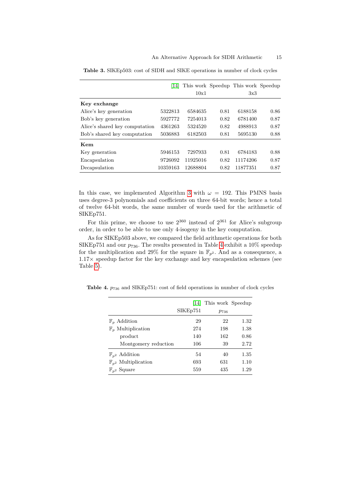|                                | 14       |          |      | This work Speedup This work Speedup |      |
|--------------------------------|----------|----------|------|-------------------------------------|------|
|                                |          | 10x1     |      | 3x3                                 |      |
| Key exchange                   |          |          |      |                                     |      |
| Alice's key generation         | 5322813  | 6584635  | 0.81 | 6188158                             | 0.86 |
| Bob's key generation           | 5927772  | 7254013  | 0.82 | 6781400                             | 0.87 |
| Alice's shared key computation | 4361263  | 5324520  | 0.82 | 4988913                             | 0.87 |
| Bob's shared key computation   | 5036883  | 6182503  | 0.81 | 5695130                             | 0.88 |
| Kem                            |          |          |      |                                     |      |
| Key generation                 | 5946153  | 7297933  | 0.81 | 6784183                             | 0.88 |
| Encapsulation                  | 9726092  | 11925016 | 0.82 | 11174206                            | 0.87 |
| Decapsulation                  | 10359163 | 12688804 | 0.82 | 11877351                            | 0.87 |

**Table 3.** SIKEp503: cost of SIDH and SIKE operations in number of clock cycles

In this case, we implemented Algorithm 3 with  $\omega = 192$ . This PMNS basis uses degree-3 polynomials and coefficients on three 64-bit words; hence a total of twelve 64-bit words, the same number of words used for the arithmetic of SIKEp751.

For this prime, we choose to use  $2^{360}$  instead of  $2^{361}$  for Alice's subgroup order, in order to be able to use only 4-isogeny in the key computation.

As for SIKEp503 above, we compared the field arithmetic operations for both SIKEp751 and our  $p_{736}$ . The results presented in Table 4 exhibit a 10% speedup for the multiplication and 29% for the square in  $\mathbb{F}_{p^2}$ . And as a consequence, a  $1.17\times$  speedup factor for the key exchange and key encapsulation schemes (see Table 5).

|                                   | 141                   | This work Speedup |      |
|-----------------------------------|-----------------------|-------------------|------|
|                                   | SIKE <sub>p</sub> 751 | $p_{736}$         |      |
| $\mathbb{F}_n$ Addition           | 29                    | 22                | 1.32 |
| $\mathbb{F}_p$ Multiplication     | 274                   | 198               | 1.38 |
| product                           | 140                   | 162               | 0.86 |
| Montgomery reduction              | 106                   | 39                | 2.72 |
| $\mathbb{F}_{p^2}$ Addition       | 54                    | 40                | 1.35 |
| $\mathbb{F}_{p^2}$ Multiplication | 693                   | 631               | 1.10 |
| $\mathbb{F}_{p^2}$ Square         | 559                   | 435               | 1.29 |

**Table 4.**  $p_{736}$  and SIKEp751: cost of field operations in number of clock cycles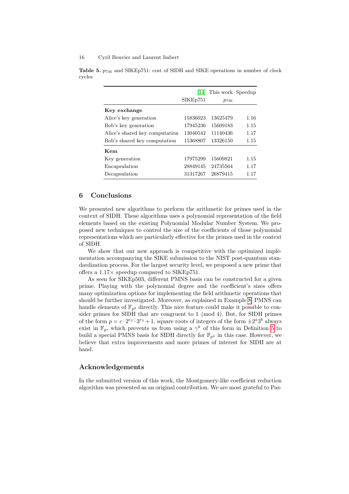|                                | 14       | This work Speedup |      |
|--------------------------------|----------|-------------------|------|
|                                | SIKEp751 | $p_{736}$         |      |
| Key exchange                   |          |                   |      |
| Alice's key generation         | 15836023 | 13625479          | 1.16 |
| Bob's key generation           | 17945236 | 15609183          | 1.15 |
| Alice's shared key computation | 13040542 | 11140436          | 1.17 |
| Bob's shared key computation   | 15368807 | 13326150          | 1.15 |
| Kem                            |          |                   |      |
| Key generation                 | 17975299 | 15609821          | 1.15 |
| Encapsulation                  | 28849145 | 24735564          | 1.17 |
| Decapsulation                  | 31317267 | 26879415          | 1.17 |

**Table 5.**  $p_{736}$  and SIKEp751: cost of SIDH and SIKE operations in number of clock cycles

## **6 Conclusions**

We presented new algorithms to perform the arithmetic for primes used in the context of SIDH. These algorithms uses a polynomial representation of the field elements based on the existing Polynomial Modular Number System. We proposed new techniques to control the size of the coefficients of those polynomial representations which are particularly effective for the primes used in the context of SIDH.

We show that our new approach is competitive with the optimized implementation accompanying the SIKE submission to the NIST post-quantum standardization process. For the largest security level, we proposed a new prime that offers a 1*.*17× speedup compared to SIKEp751.

As seen for SIKEp503, different PMNS basis can be constructed for a given prime. Playing with the polynomial degree and the coefficient's sizes offers many optimization options for implementing the field arithmetic operations that should be further investigated. Moreover, as explained in Example 8, PMNS can handle elements of  $\mathbb{F}_{p^2}$  directly. This nice feature could make it possible to consider primes for SIDH that are congruent to 1 (mod 4). But, for SIDH primes of the form  $p = c \cdot 2^{e_2} \cdot 3^{e_3} + 1$ , square roots of integers of the form  $\pm 2^{a}3^{b}$  always exist in  $\mathbb{F}_p$ , which prevents us from using a  $\gamma^k$  of this form in Definition 5 to build a special PMNS basis for SIDH directly for  $\mathbb{F}_{p^2}$  in this case. However, we believe that extra improvements and more primes of interest for SIDH are at hand.

## **Acknowledgements**

In the submitted version of this work, the Montgomery-like coefficient reduction algorithm was presented as an original contribution. We are most grateful to Pas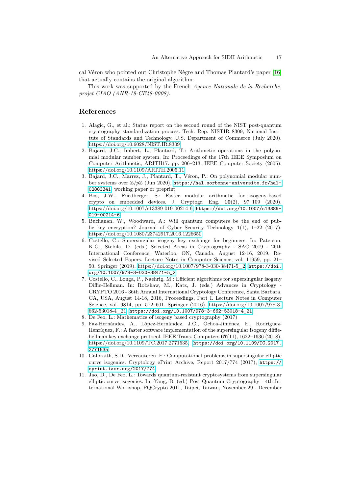cal Véron who pointed out Christophe Nègre and Thomas Plantard's paper [16] that actually contains the original algorithm.

This work was supported by the French *Agence Nationale de la Recherche, projet CIAO (ANR-19-CE48-0008).*

## **References**

- 1. Alagic, G., et al.: Status report on the second round of the NIST post-quantum cryptography standardization process. Tech. Rep. NISTIR 8309, National Institute of Standards and Technology, U.S. Department of Commerce (July 2020). <https://doi.org/10.6028/NIST.IR.8309>
- 2. Bajard, J.C., Imbert, L., Plantard, T.: Arithmetic operations in the polynomial modular number system. In: Proceedings of the 17th IEEE Symposium on Computer Arithmetic, ARITH17. pp. 206–213. IEEE Computer Society (2005). <https://doi.org/10.1109/ARITH.2005.11>
- 3. Bajard, J.C., Marrez, J., Plantard, T., Véron, P.: On polynomial modular number systems over Z*/p*Z (Jun 2020), [https://hal.sorbonne-universite.fr/hal-](https://hal.sorbonne-universite.fr/hal-02883341)[02883341](https://hal.sorbonne-universite.fr/hal-02883341), working paper or preprint
- 4. Bos, J.W., Friedberger, S.: Faster modular arithmetic for isogeny-based crypto on embedded devices. J. Cryptogr. Eng. **10**(2), 97–109 (2020). [https://doi.org/10.1007/s13389-019-00214-6,](https://doi.org/10.1007/s13389-019-00214-6) [https://doi.org/10.1007/s13389-](https://doi.org/10.1007/s13389-019-00214-6) [019-00214-6](https://doi.org/10.1007/s13389-019-00214-6)
- 5. Buchanan, W., Woodward, A.: Will quantum computers be the end of public key encryption? Journal of Cyber Security Technology **1**(1), 1–22 (2017). <https://doi.org/10.1080/23742917.2016.1226650>
- 6. Costello, C.: Supersingular isogeny key exchange for beginners. In: Paterson, K.G., Stebila, D. (eds.) Selected Areas in Cryptography - SAC 2019 - 26th International Conference, Waterloo, ON, Canada, August 12-16, 2019, Revised Selected Papers. Lecture Notes in Computer Science, vol. 11959, pp. 21– 50. Springer (2019). [https://doi.org/10.1007/978-3-030-38471-5\\_2,](https://doi.org/10.1007/978-3-030-38471-5_2) [https://doi.](https://doi.org/10.1007/978-3-030-38471-5_2) [org/10.1007/978-3-030-38471-5\\_2](https://doi.org/10.1007/978-3-030-38471-5_2)
- 7. Costello, C., Longa, P., Naehrig, M.: Efficient algorithms for supersingular isogeny Diffie-Hellman. In: Robshaw, M., Katz, J. (eds.) Advances in Cryptology - CRYPTO 2016 - 36th Annual International Cryptology Conference, Santa Barbara, CA, USA, August 14-18, 2016, Proceedings, Part I. Lecture Notes in Computer Science, vol. 9814, pp. 572–601. Springer (2016). [https://doi.org/10.1007/978-3-](https://doi.org/10.1007/978-3-662-53018-4_21) [662-53018-4\\_21,](https://doi.org/10.1007/978-3-662-53018-4_21) [https://doi.org/10.1007/978-3-662-53018-4\\_21](https://doi.org/10.1007/978-3-662-53018-4_21)
- 8. De Feo, L.: Mathematics of isogeny based cryptography (2017)
- 9. Faz-Hernández, A., López-Hernández, J.C., Ochoa-Jiménez, E., Rodríguez-Henríquez, F.: A faster software implementation of the supersingular isogeny diffiehellman key exchange protocol. IEEE Trans. Computers **67**(11), 1622–1636 (2018). [https://doi.org/10.1109/TC.2017.2771535,](https://doi.org/10.1109/TC.2017.2771535) [https://doi.org/10.1109/TC.2017.](https://doi.org/10.1109/TC.2017.2771535) [2771535](https://doi.org/10.1109/TC.2017.2771535)
- 10. Galbraith, S.D., Vercauteren, F.: Computational problems in supersingular elliptic curve isogenies. Cryptology ePrint Archive, Report 2017/774 (2017), [https://](https://eprint.iacr.org/2017/774) [eprint.iacr.org/2017/774](https://eprint.iacr.org/2017/774)
- 11. Jao, D., De Feo, L.: Towards quantum-resistant cryptosystems from supersingular elliptic curve isogenies. In: Yang, B. (ed.) Post-Quantum Cryptography - 4th International Workshop, PQCrypto 2011, Taipei, Taiwan, November 29 - December